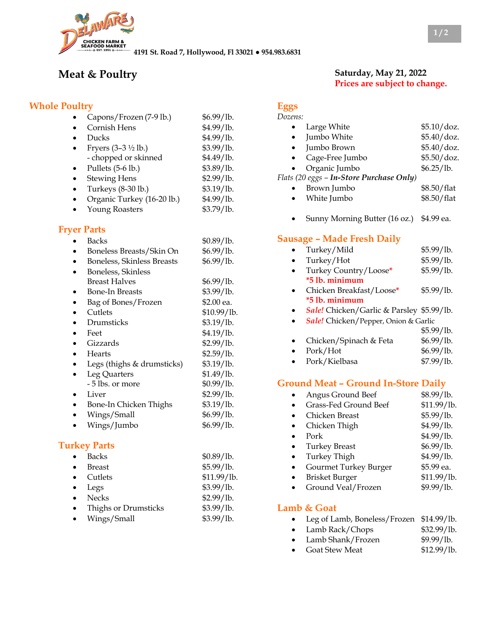

**4191 St. Road 7, Hollywood, Fl 33021 ● 954.983.6831**

# **Meat & Poultry**

### **Whole Poultry**

| Capons/Frozen (7-9 lb.)           | \$6.99/lb. |
|-----------------------------------|------------|
| Cornish Hens                      | \$4.99/lb. |
| Ducks                             | \$4.99/lb. |
| Fryers $(3-3 \frac{1}{2} \,$ lb.) | \$3.99/lb. |
| - chopped or skinned              | \$4.49/lb. |
| Pullets (5-6 lb.)                 | \$3.89/lb. |
| <b>Stewing Hens</b>               | \$2.99/lb. |
| Turkeys (8-30 lb.)                | \$3.19/lb. |
| Organic Turkey (16-20 lb.)        | \$4.99/lb. |
| <b>Young Roasters</b>             | \$3.79/lb. |

#### **Fryer Parts**

| <b>Backs</b>                      | \$0.89/lb.  |
|-----------------------------------|-------------|
| Boneless Breasts/Skin On          | \$6.99/lb.  |
| <b>Boneless, Skinless Breasts</b> | \$6.99/lb.  |
| Boneless, Skinless                |             |
| Breast Halves                     | \$6.99/lb.  |
| <b>Bone-In Breasts</b>            | \$3.99/lb.  |
| Bag of Bones/Frozen               | \$2.00 ea.  |
| Cutlets                           | \$10.99/lb. |
| Drumsticks                        | \$3.19/lb.  |
| Feet                              | \$4.19/lb.  |
| Gizzards                          | \$2.99/lb.  |
| <b>Hearts</b>                     | \$2.59/lb.  |
| Legs (thighs & drumsticks)        | \$3.19/lb.  |
| Leg Quarters                      | \$1.49/lb.  |
| - 5 lbs. or more                  | \$0.99/lb.  |
| Liver                             | \$2.99/lb.  |
| Bone-In Chicken Thighs            | \$3.19/lb.  |
| Wings/Small                       | \$6.99/lb.  |
| Wings/Jumbo                       | \$6.99/lb.  |
|                                   |             |

#### **Turkey Parts**

|           | <b>Backs</b>         | \$0.89/lb.  |
|-----------|----------------------|-------------|
|           | Breast               | \$5.99/lb.  |
|           | Cutlets              | \$11.99/lb. |
|           | Legs                 | \$3.99/1b.  |
|           | <b>Necks</b>         | \$2.99/lb.  |
| $\bullet$ | Thighs or Drumsticks | \$3.99/lb.  |
|           | Wings/Small          | \$3.99/lb.  |

#### **Saturday, May 21, 2022 Prices are subject to change.**

| 07.PN. |  |
|--------|--|

| $\bullet$ | Large White                               | \$5.10/doz. |
|-----------|-------------------------------------------|-------------|
|           | Jumbo White                               | \$5.40/doz. |
| $\bullet$ | Jumbo Brown                               | \$5.40/doz. |
| $\bullet$ | Cage-Free Jumbo                           | \$5.50/doz. |
|           | Organic Jumbo                             | \$6.25/lb.  |
|           | Flats (20 eggs - In-Store Purchase Only)  |             |
|           | Brown Jumbo                               | \$8.50/flat |
|           | White Jumbo                               | \$8.50/flat |
|           | Sunny Morning Butter (16 oz.)             | \$4.99 ea.  |
|           | <b>Sausage – Made Fresh Daily</b>         |             |
|           | Turkey/Mild                               | \$5.99/lb.  |
|           | Turkey/Hot                                | \$5.99/lb.  |
|           | Turkey Country/Loose*                     | \$5.99/lb.  |
|           | *5 lb. minimum                            |             |
|           | Chicken Breakfast/Loose*                  | \$5.99/lb.  |
|           | *5 lb. minimum                            |             |
|           | Sale! Chicken/Garlic & Parsley \$5.99/lb. |             |
|           | Sale! Chicken/Pepper, Onion & Garlic      |             |
|           |                                           | \$5.99/lb.  |
|           | Chicken/Spinach & Feta                    | \$6.99/lb.  |
|           | Pork/Hot                                  | \$6.99/lb.  |
|           |                                           |             |

# • Pork/Kielbasa \$7.99/lb.

#### **Ground Meat – Ground In-Store Daily**

| Angus Ground Beef     | \$8.99/lb.  |
|-----------------------|-------------|
| Grass-Fed Ground Beef | \$11.99/lb. |
| Chicken Breast        | \$5.99/1b.  |
| Chicken Thigh         | \$4.99/lb.  |
| Pork                  | \$4.99/lb.  |
| <b>Turkey Breast</b>  | \$6.99/lb.  |
| Turkey Thigh          | \$4.99/lb.  |
| Gourmet Turkey Burger | \$5.99 ea.  |
| <b>Brisket Burger</b> | \$11.99/lb. |
| Ground Veal/Frozen    | \$9.99/lb.  |
|                       |             |

#### **Lamb & Goat**

|  |  | Leg of Lamb, Boneless/Frozen \$14.99/lb. |  |
|--|--|------------------------------------------|--|
|--|--|------------------------------------------|--|

- Lamb Rack/Chops \$32.99/lb.
- Lamb Shank/Frozen \$9.99/lb.
- Goat Stew Meat \$12.99/lb.